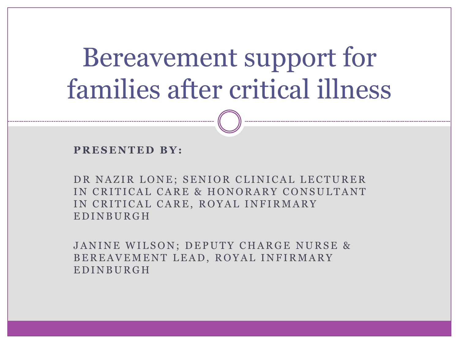## Bereavement support for families after critical illness

#### **PRESENTED BY:**

DR NAZIR LONE; SENIOR CLINICAL LECTURER IN CRITICAL CARE & HONORARY CONSULTANT IN CRITICAL CARE, ROYAL INFIRMARY E D I N B U R G H

JANINE WILSON; DEPUTY CHARGE NURSE & BEREAVEMENT LEAD, ROYAL INFIRMARY E D I N B U R G H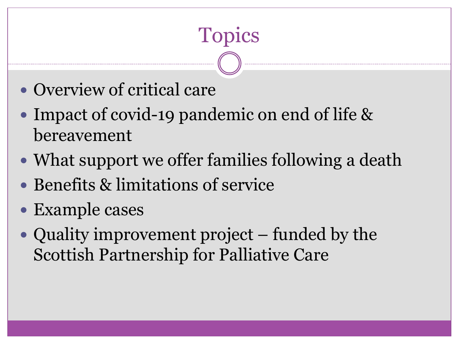### Topics

- Overview of critical care
- Impact of covid-19 pandemic on end of life & bereavement
- What support we offer families following a death
- Benefits & limitations of service
- Example cases
- Quality improvement project funded by the Scottish Partnership for Palliative Care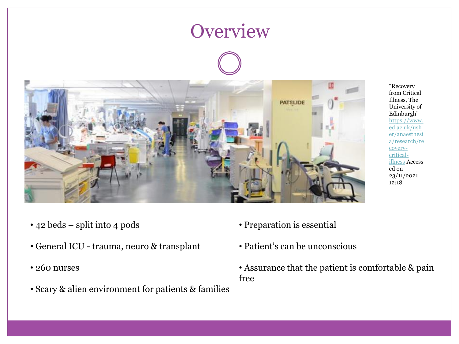#### **Overview**



- $\cdot$  42 beds split into 4 pods
- General ICU trauma, neuro & transplant
- 260 nurses
- Scary & alien environment for patients & families
- Preparation is essential
- Patient's can be unconscious
- Assurance that the patient is comfortable & pain free

"Recovery from Critical Illness, The University of Edinburgh" https://www. ed.ac.uk/ush er/anaesthesi [a/research/re](https://www.ed.ac.uk/usher/anaesthesia/research/recovery-critical-illness) coverycriticalillness Access ed on 23/11/2021 12:18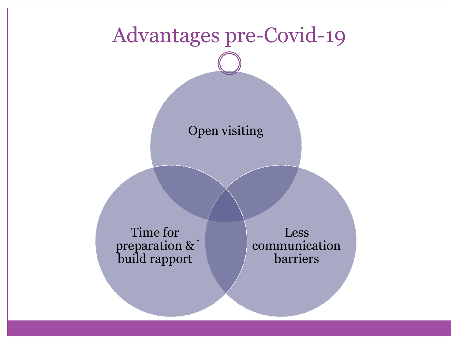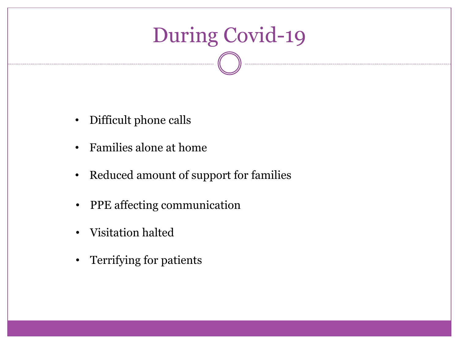#### During Covid-19

- Difficult phone calls
- Families alone at home
- Reduced amount of support for families
- PPE affecting communication
- Visitation halted
- Terrifying for patients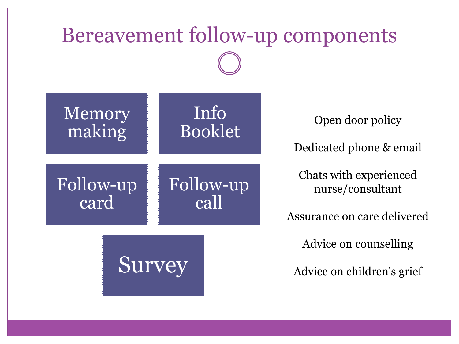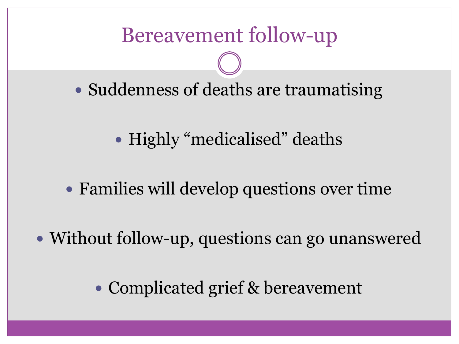• Suddenness of deaths are traumatising

- Highly "medicalised" deaths
- Families will develop questions over time
- Without follow-up, questions can go unanswered
	- Complicated grief & bereavement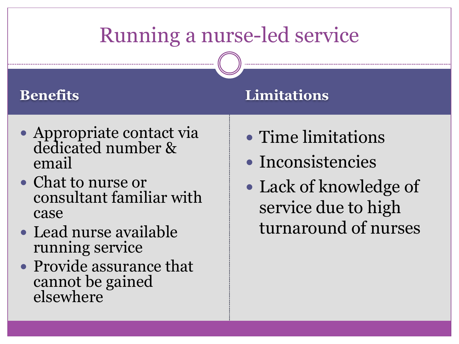#### Running a nurse-led service

#### **Benefits Limitations**

- Appropriate contact via dedicated number & email
- Chat to nurse or consultant familiar with case
- Lead nurse available running service
- Provide assurance that cannot be gained elsewhere
- Time limitations
- Inconsistencies
- Lack of knowledge of service due to high turnaround of nurses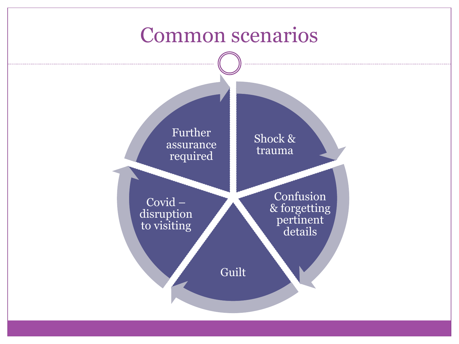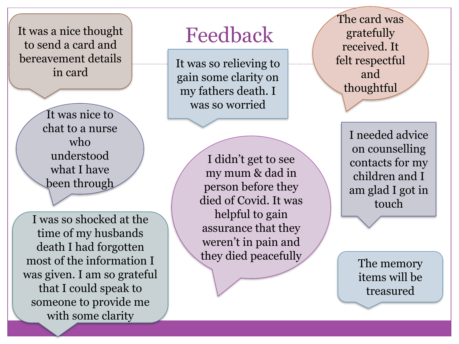It was a nice thought Feedback to send a card and bereavement details in card

It was nice to chat to a nurse who understood what I have been through

I was so shocked at the time of my husbands death I had forgotten most of the information I was given. I am so grateful that I could speak to someone to provide me with some clarity

It was so relieving to gain some clarity on my fathers death. I was so worried

> I didn't get to see my mum & dad in person before they died of Covid. It was helpful to gain assurance that they weren't in pain and they died peacefully

The card was gratefully received. It felt respectful and thoughtful

> I needed advice on counselling contacts for my children and I am glad I got in touch

The memory items will be treasured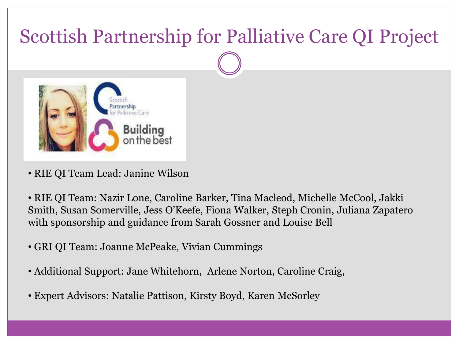# Scottish Partnership for Palliative Care QI Project **Building**<br>on the best

- RIE QI Team Lead: Janine Wilson
- RIE QI Team: Nazir Lone, Caroline Barker, Tina Macleod, Michelle McCool, Jakki Smith, Susan Somerville, Jess O'Keefe, Fiona Walker, Steph Cronin, Juliana Zapatero with sponsorship and guidance from Sarah Gossner and Louise Bell
- GRI QI Team: Joanne McPeake, Vivian Cummings
- Additional Support: Jane Whitehorn, Arlene Norton, Caroline Craig,
- Expert Advisors: Natalie Pattison, Kirsty Boyd, Karen McSorley